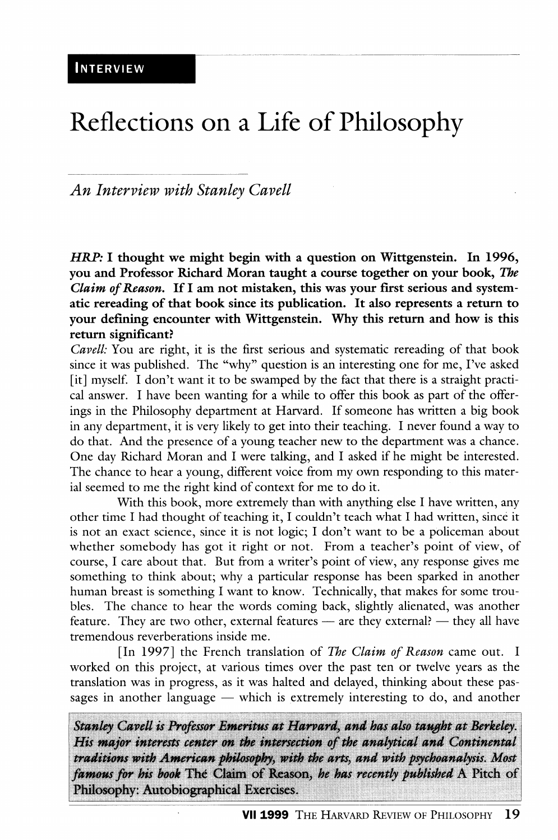## Reflections on a Life of Philosopliy

*An Interview with Stanley Cavell* 

*HRP:* **I thought we might begin with a question on Wittgenstein. In 1996, you and Professor Richard Moran taught a course together on your book,** *The Claim of Reason,* **If I am not mistaken, this was your first serious and systematic rereading of that book since its publication. It also represents a return to your defining encounter with Wittgenstein. Why this return and how is this return significant?** 

*Cavell:* You are right, it is the first serious and systematic rereading of that book since it was published. The "why" question is an interesting one for me, I've asked [it] myself. I don't want it to be swamped by the fact that there is a straight practical answer. I have been wanting for a while to offer this book as part of the offerings in the Philosophy department at Harvard. If someone has written a big book in any department, it is very likely to get into their teaching. I never found a way to do that. And the presence of a young teacher new to the department was a chance. One day Richard Moran and I were talking, and I asked if he might be interested. The chance to hear a young, different voice from my own responding to this material seemed to me the right kind of context for me to do it.

With this book, more extremely than with anything else I have written, any other time I had thought of teaching it, I couldn't teach what I had written, since it is not an exact science, since it is not logic; I don't want to be a policeman about whether somebody has got it right or not. From a teacher's point of view, of course, I care about that. But from a writer's point of view, any response gives me something to think about; why a particular response has been sparked in another human breast is something I want to know. Technically, that makes for some troubles. The chance to hear the words coming back, slightiy alienated, was another feature. They are two other, external features  $-$  are they external?  $-$  they all have tremendous reverberations inside me.

[In 1997] the French translation of *The Claim of Reason* came out. I worked on this project, at various times over the past ten or twelve years as the translation was in progress, as it was halted and delayed, thinking about these passages in another language — which is extremely interesting to do, and another

Stanley Cavell is Professor Emeritus at Harvard, and has also taught at Berkeley. His major interests center on the intersection of the analytical and Continental traditions with American philosophy, with the arts, and with psychoanalysis. Most famous for his book The Claim of Reason, he has recently published A Pitch of Philosophy: Autobiographical Exercises.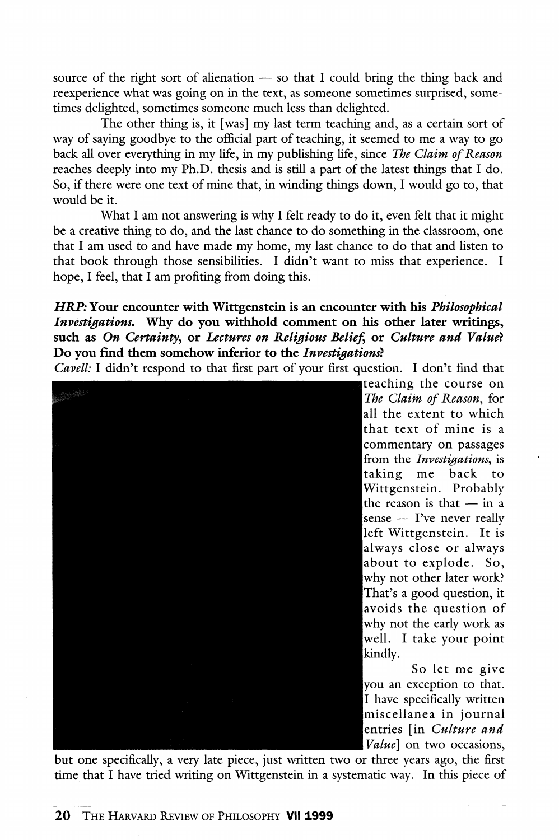source of the right sort of alienation — so that I could bring the thing back and reexperience what was going on in the text, as someone sometimes surprised, sometimes delighted, sometimes someone much less than delighted.

The other thing is, it [was] my last term teaching and, as a certain sort of way of saying goodbye to the official part of teaching, it seemed to me a way to go back all over everything in my Hfe, in my publishing life, since *The Claim of Reason*  reaches deeply into my Ph.D. thesis and is still a part of the latest things that I do. So, if there were one text of mine that, in winding things down, I would go to, that would be it.

What I am not answering is why I felt ready to do it, even felt that it might be a creative thing to do, and the last chance to do something in the classroom, one that I am used to and have made my home, my last chance to do that and listen to that book through those sensibilities. I didn't want to miss that experience. I hope, I feel, that I am profiting from doing this.

## *HRP:* **Your encounter with Wittgenstein is an encoimter with his** *Philosophical Investigations.* Why do you withhold comment on his other later writings, such as *On Certainty*, or *Lectures on Religious Belief*, or *Culture and Value?* **Do you find them somehow inferior to the** *Investigations}*

*Cavell:* I didn't respond to that first part of your first question. I don't find that



iteaching the course on *IThe Claim of Reason.,* for all the extent to which that text of mine is a commentary on passages from the *Investigations*, is taking me back to Wittgenstein. Probably the reason is that — in a sense — I've never really left Wittgenstein. It is always close or always about to explode. So, why not other later work? That's a good question, it avoids the question of why not the early work as well. I take your point

So let me give you an exception to that. I have specifically written miscellanea in journal entries [in *Culture and [Value]* on two occasions.

but one specifically, a very late piece, just written two or three years ago, the first time that I have tried writing on Wittgenstein in a systematic way. In this piece of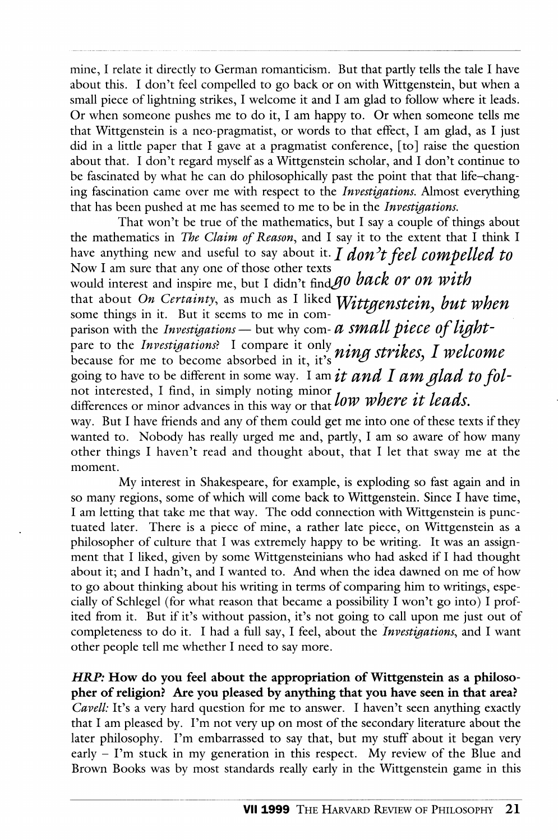mine, I relate it directly to German romanticism. But that pardy tells the tale I have about this. I don't feel compelled to go back or on with Wittgenstein, but when a small piece of lightning strikes, I welcome it and I am glad to follow where it leads. Or when someone pushes me to do it, I am happy to. Or when someone tells me that Wittgenstein is a neo-pragmatist, or words to that effect, I am glad, as I just did in a little paper that I gave at a pragmatist conference, [to] raise the question about that. I don't regard myself as a Wittgenstein scholar, and I don't continue to be fascinated by what he can do philosophically past the point that that life-changing fascination came over me with respect to the *Investigations.* Almost everything that has been pushed at me has seemed to me to be in the *Investigations.* 

That won't be true of the mathematics, but I say a couple of things about the mathematics in *The Claim of Reason^* and I say it to the extent that I think I have anything new and useful to say about it. *I don't feel compelled to* Now I am sure that any one of those other texts would interest and inspire me, but I didn't find go back or on with that about *On Certainty*, as much as I liked *Wittgenstein*, but when some things in it. But it seems to me in comparison with the *Investigations* — but why com- *d small piece of light*pare to the *Investigations*? I compare it only *a in x atuil as* I malaeura because for me to become absorbed in it, it's  $\mu\nu\nu$ going to have to be different in some way. I am *it and I am glad to fol*not interested, I find, in simply noting minor  $f_{\text{corr}}$   $\ldots$   $f_{\text{corr}}$ differences or minor advances in this way or that *WW WHETE IT IEUAS*. way. But I have friends and any of them could get me into one of these texts if they wanted to. Nobody has really urged me and, partiy, I am so aware of how many other things I haven't read and thought about, that I let that sway me at the moment.

My interest in Shakespeare, for example, is exploding so fast again and in so many regions, some of which will come back to Wittgenstein. Since I have time, I am letting that take me that way. The odd connection with Wittgenstein is punctuated later. There is a piece of mine, a rather late piece, on Wittgenstein as a philosopher of culture that I was extremely happy to be writing. It was an assignment that I liked, given by some Wittgensteinians who had asked if I had thought about it; and I hadn't, and I wanted to. And when the idea dawned on me of how to go about thinking about his writing in terms of comparing him to writings, especially of Schlegel (for what reason that became a possibility I won't go into) I profited from it. But if it's without passion, it's not going to call upon me just out of completeness to do it. I had a full say, I feel, about the *Investi^fations,* and I want other people tell me whether I need to say more.

*HRP:* **How do you feel about the appropriation of Wittgenstein as a philosopher of religion? Are you pleased by anything that you have seen in that area?**  *Cavell:* It's a very hard question for me to answer. I haven't seen anything exactly that I am pleased by. I'm not very up on most of the secondary literature about the later philosophy. I'm embarrassed to say that, but my stuff about it began very early - I'm stuck in my generation in this respect. My review of the Blue and Brown Books was by most standards really early in the Wittgenstein game in this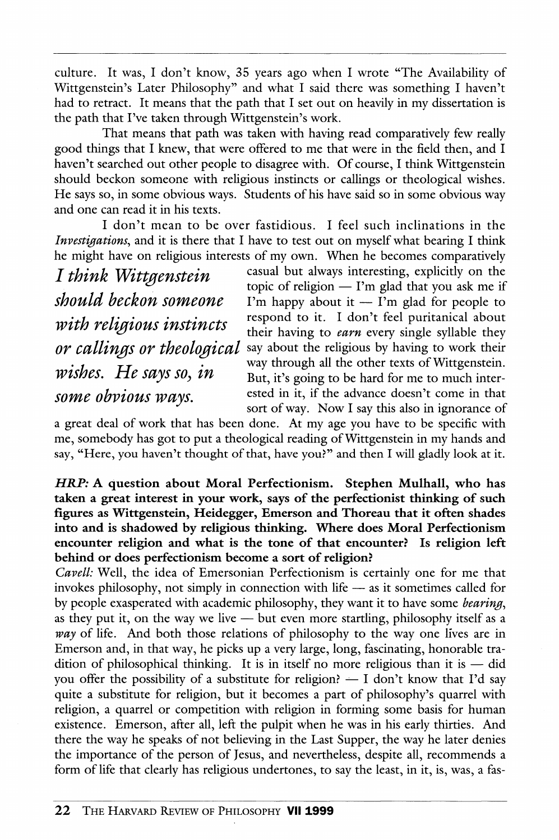culture. It was, I don't know, 35 years ago when I wrote "The Availability of Wittgenstein's Later Philosophy" and what I said there was something I haven't had to retract. It means that the path that I set out on heavily in my dissertation is the path that I've taken through Wittgenstein's work.

That means that path was taken with having read comparatively few really good things that I knew, that were offered to me that were in the field then, and I haven't searched out other people to disagree with. Of course, I think Wittgenstein should beckon someone with religious instincts or callings or theological wishes. He says so, in some obvious ways. Students of his have said so in some obvious way and one can read it in his texts.

I don't mean to be over fastidious. I feel such inclinations in the *Investigations,* and it is there that I have to test out on myself what bearing I think he might have on religious interests of my own. When he becomes comparatively<br> $I$  thing h  $Mdt$  to casual but always interesting, explicitly on the

*I think Wittgenstei n ^^^"^""^* ^''^ ^^"^^^^^ interesting, explicitly on the

 $\frac{1}{t}$  topic of religion  $-$  I'm glad that you ask me if<br>should beckon someone I'm happy about it  $-$  I'm glad for people to I'm happy about it — I'm glad for people to *with religious instincts* respond to it. I don't feel puritanical about *wtth retigious instincts* their having to *earn* every single syllable they or callings or theological say about the religious by having to work their say about the religious by having to work their *' f rr '* through all the other texts of Wittgenstein. *WISHES.* He says so, in But, it's going to be hard for me to much inter-<br>some obvious ways. ested in it, if the advance doesn't come in that ested in it, if the advance doesn't come in that sort of way. Now I say this also in ignorance of

a great deal of work that has been done. At my age you have to be specific with me, somebody has got to put a theological reading of Wittgenstein in my hands and say, "Here, you haven't thought of that, have you?" and then I will gladly look at it.

*HBJP:* **A question about Moral Perfectionism. Stephen Mulhall, who has taken a great interest in your work, says of the perfectionist thinking of such figures as Wittgenstein, Heidegger, Emerson and Thoreau that it often shades into and is shadowed by religious thinking. Where does Moral Perfectionism encounter religion and what is the tone of that encounter? Is religion left behind or does perfectionism become a sort of religion?** 

*Cavell:* Well, the idea of Emersonian Perfectionism is certainly one for me that invokes philosophy, not simply in connection with life — as it sometimes called for by people exasperated with academic philosophy, they want it to have some *hearing,*  as they put it, on the way we live — but even more startling, philosophy itself as a way of life. And both those relations of philosophy to the way one lives are in Emerson and, in that way, he picks up a very large, long, fascinating, honorable tradition of philosophical thinking. It is in itself no more religious than it is — did you offer the possibility of a substitute for religion?  $- I$  don't know that I'd say quite a substitute for religion, but it becomes a part of philosophy's quarrel with religion, a quarrel or competition with religion in forming some basis for human existence. Emerson, after all, left the pulpit when he was in his early thirties. And there the way he speaks of not believing in the Last Supper, the way he later denies the importance of the person of Jesus, and nevertheless, despite all, recommends a form of life that clearly has religious undertones, to say the least, in it, is, was, a fas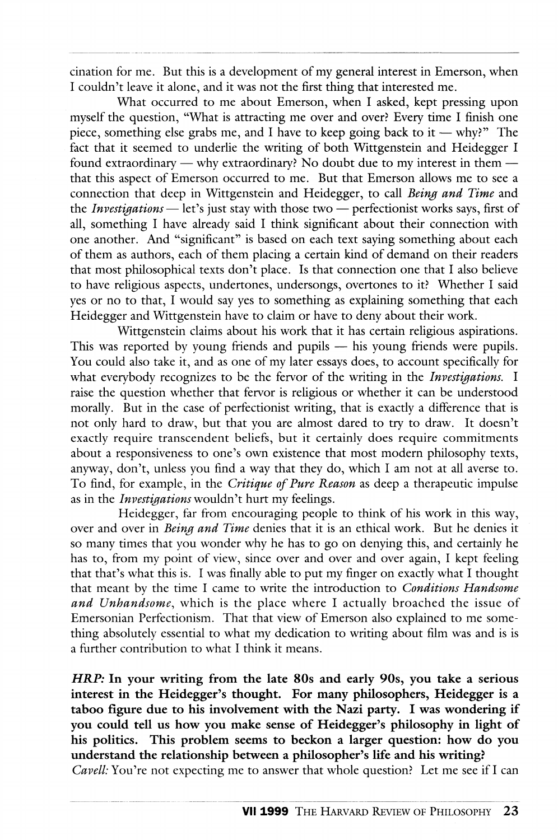cination for me. But this is a development of my general interest in Emerson, when I couldn't leave it alone, and it was not the first thing that interested me.

What occurred to me about Emerson, when I asked, kept pressing upon myself the question, "What is attracting me over and over? Every time I finish one piece, something else grabs me, and I have to keep going back to it — why?" The fact that it seemed to underlie the writing of both Wittgenstein and Heidegger I found extraordinary — why extraordinary? No doubt due to my interest in them that this aspect of Emerson occurred to me. But that Emerson allows me to see a connection that deep in Wittgenstein and Heidegger, to call *Being and Time* and the *Investigations* — let's just stay with those two — perfectionist works says, first of all, something I have already said I think significant about their connection with one another. And "significant" is based on each text saying something about each of them as authors, each of them placing a certain kind of demand on their readers that most philosophical texts don't place. Is that connection one that I also believe to have religious aspects, undertones, undersongs, overtones to it? Whether I said yes or no to that, I would say yes to something as explaining something that each Heidegger and Wittgenstein have to claim or have to deny about their work.

Wittgenstein claims about his work that it has certain religious aspirations. This was reported by young friends and pupils — his young friends were pupils. You could also take it, and as one of my later essays does, to account specifically for what everybody recognizes to be the fervor of the writing in the *Investigations.* I raise the question whether that fervor is religious or whether it can be understood morally. But in the case of perfectionist writing, that is exactly a difference that is not only hard to draw, but that you are almost dared to try to draw. It doesn't exactly require transcendent beliefs, but it certainly does require commitments about a responsiveness to one's own existence that most modern philosophy texts, anyway, don't, unless you find a way that they do, which I am not at all averse to. To find, for example, in the *Critique of Pure Reason* as deep a therapeutic impulse as in the *Investigations* wouldn't hurt my feelings.

Heidegger, far from encouraging people to think of his work in this way, over and over in *Being and Time* denies that it is an ethical work. But he denies it so many times that you wonder why he has to go on denying this, and certainly he has to, from my point of view, since over and over and over again, I kept feeling that that's what this is. I was finally able to put my finger on exactly what I thought that meant by the time I came to write the introduction to *Conditions Handsome and Unhandsome,* which is the place where I actually broached the issue of Emersonian Perfectionism. That that view of Emerson also explained to me something absolutely essential to what my dedication to writing about film was and is is a further contribution to what I think it means.

*HRP:* **In your writing from the late 80s and early 90s, you take a serious interest in the Heidegger's thought. For many philosophers, Heidegger is a taboo figure due to his involvement with the Nazi party. I was wondering if you could tell us how you make sense of Heidegger's philosophy in light of his politics. This problem seems to beckon a larger question: how do you imderstand the relationship between a philosopher's life and his writing?** 

*Cavell:* You're not expecting me to answer that whole question? Let me see if I can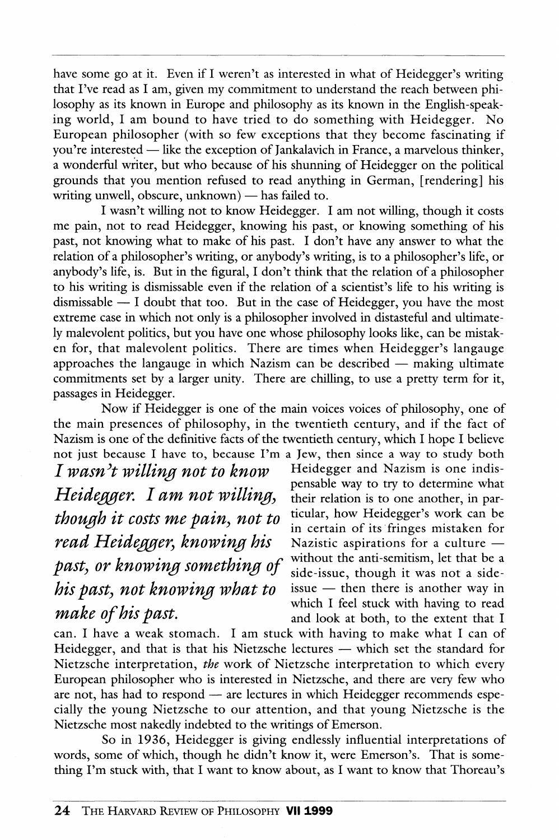have some go at it. Even if I weren't as interested in what of Heidegger's writing that I've read as I am, given my commitment to understand the reach between philosophy as its known in Europe and philosophy as its known in the English-speaking world, I am bound to have tried to do something with Heidegger. No European philosopher (with so few exceptions that they become fascinating if you're interested — like the exception of Jankalavich in France, a marvelous thinker, a wonderful writer, but who because of his shunning of Heidegger on the political grounds that you mention refused to read anything in German, [rendering] his writing unwell, obscure, unknown) — has failed to.

I wasn't willing not to know Heidegger. I am not willing, though it costs me pain, not to read Heidegger, knowing his past, or knowing something of his past, not knowing what to make of his past. I don't have any answer to what the relation of a philosopher's writing, or anybody's writing, is to a philosopher's life, or anybody's life, is. But in the figural, I don't think that the relation of a philosopher to his writing is dismissable even if the relation of a scientist's life to his writing is dismissable — I doubt that too. But in the case of Heidegger, you have the most extreme case in which not only is a philosopher involved in distasteful and ultimately malevolent politics, but you have one whose philosophy looks like, can be mistaken for, that malevolent politics. There are times when Heidegger's langauge approaches the langauge in which Nazism can be described — making ultimate commitments set by a larger unity. There are chilling, to use a pretty term for it, passages in Heidegger.

Now if Heidegger is one of the main voices voices of philosophy, one of the main presences of philosophy, in the twentieth century, and if the fact of Nazism is one of the definitive facts of the twentieth century, which I hope I believe not just because I have to, because I'm a Jew, then since a way to study both

*I wasn't willing not to know* Heidegger and Nazism is one indis-*Heidegger. I am not willing*, their relation is to one another, in par*though it costs me pain, not to* ticular, how Heidegger's work can be *read Heidegger*, knowing his past, or knowing something of without the anti-semitism, let that be a *his past, not knowing what to* issue — then there is another way in make of his past.<br>
which I feel stuck with having to read<br>
and look at both to the extent that I

pensable way to try to determine what in certain of its fringes mistaken for<br>Nazistic aspirations for a culture  $$ side-issue, though it was not a sideand look at both, to the extent that I

can. I have a weak stomach. I am stuck with having to make what I can of Heidegger, and that is that his Nietzsche lectures — which set the standard for Nietzsche interpretation, *the* work of Nietzsche interpretation to which every European philosopher who is interested in Nietzsche, and there are very few who are not, has had to respond — are lectures in which Heidegger recommends especially the young Nietzsche to our attention, and that young Nietzsche is the Nietzsche most nakedly indebted to the writings of Emerson.

So in 1936, Heidegger is giving endlessly influential interpretations of words, some of which, though he didn't know it, were Emerson's. That is something I'm stuck with, that I want to know about, as I want to know that Thoreau's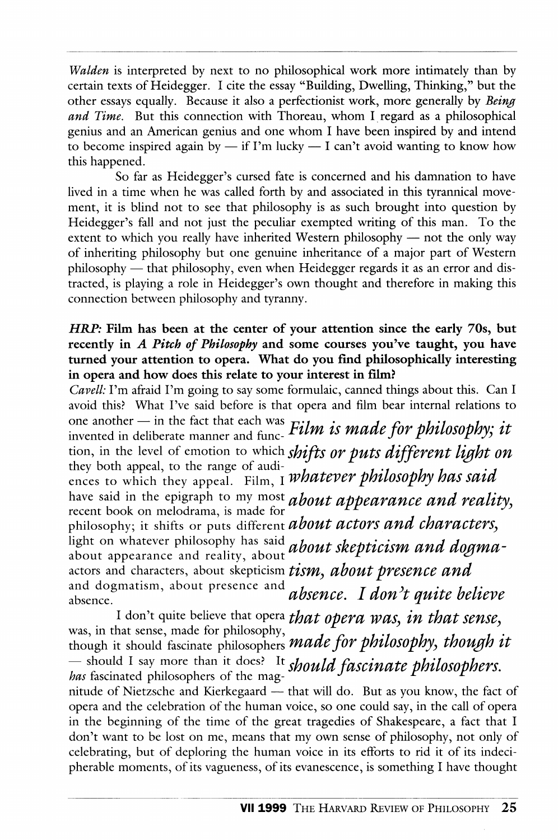*Walden* is interpreted by next to no philosophical work more intimately than by certain texts of Heidegger. I cite the essay "Building, Dwelling, Thinking," but the other essays equally. Because it also a perfectionist work, more generally by *Being and Time.* But this connection with Thoreau, whom I regard as a philosophical genius and an American genius and one whom I have been inspired by and intend to become inspired again by  $-$  if I'm lucky  $-$  I can't avoid wanting to know how this happened.

So far as Heidegger's cursed fate is concerned and his damnation to have lived in a time when he was called forth by and associated in this tyrannical movement, it is blind not to see that philosophy is as such brought into question by Heidegger's fall and not just the peculiar exempted writing of this man. To the extent to which you really have inherited Western philosophy — not the only way of inheriting philosophy but one genuine inheritance of a major part of Western philosophy — that philosophy, even when Heidegger regards it as an error and distracted, is playing a role in Heidegger's own thought and therefore in making this connection between philosophy and tyranny.

## *HRP*: Film has been at the center of your attention since the early 70s, but **recently in** *A Pitch of Philosophy* **and some courses you've taught, you have turned your attention to opera. What do you find philosophically interesting in opera and how does this relate to your interest in film?**

*Cavell:* I'm afraid I'm going to say some formulaic, canned things about this. Can I avoid this? What I've said before is that opera and film bear internal relations to one another — in the fact that each was  $\overline{r}$ ; *j*<sub>*x*</sub> *i i x i x f*<sub>on</sub> *h l*<sub>*i*</sub> *l*<sub>2</sub> *con h l*<sub>i</sub> *l*<sub>2</sub> *con h l*<sub>i</sub> *l*<sub>2</sub> *con h* invented in deliberate manner and func-  ${\it Film}$  is made for philosophy; it tion, in the level of emotion to which *shifts or puts different light on* they both appeal, to the range of audithey both appeal, to the range of audi-<br>ences to which they appeal. Film, I whatever philosophy has said have said in the epigraph to my most *about appearance and reality*, recent book on melodrama, is made for philosophy; it shifts or puts different *about actors and characters,*  light on whatever philosophy has said *ahout skepticism and dogma*about appearance and reality, about *woow skepwersin with word* actors and characters, about skepticism *tism*, *about presence and* and dogmatism, about presence and *absence. I don't quite believe* absence *absencc. I don t quite believe* 

I don't quite believe that opera *that opera was, in that sense,* was, in that sense, made for philosophy,  $\frac{1}{\sqrt{2}}$  *contributions him though it* though it should fascinate philosophers *made fo r philosophy, though It*   $-$  should I say more than it does? It *should fascinate philosophers*, *has* fascinated philosophers of the magnitude of Nietzsche and Kierkegaard — that will do. But as you know, the fact of opera and the celebration of the human voice, so one could say, in the call of opera in the beginning of the time of the great tragedies of Shakespeare, a fact that I don't want to be lost on me, means that my own sense of philosophy, not only of celebrating, but of deploring the human voice in its efforts to rid it of its indecipherable moments, of its vagueness, of its evanescence, is something I have thought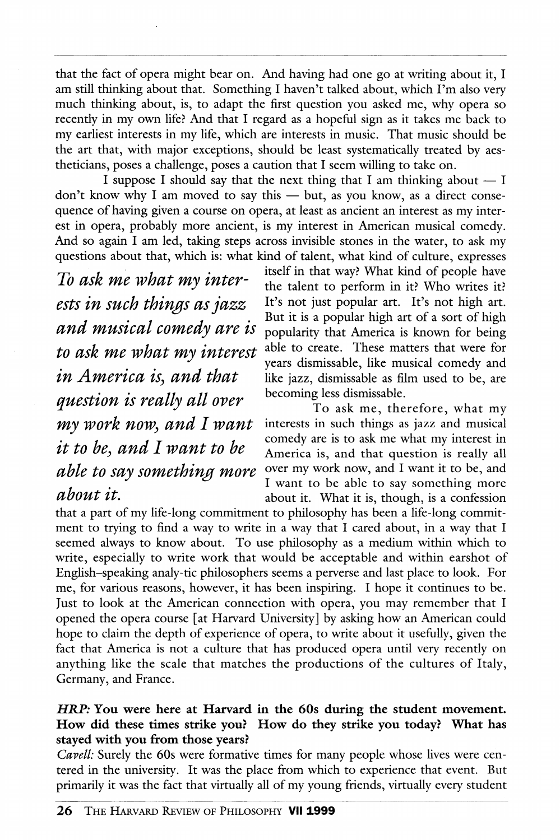that the fact of opera might bear on. And having had one go at writing about it, I am still thinking about that. Something I haven't talked about, which I'm also very much thinking about, is, to adapt the first question you asked me, why opera so recentiy in my own life? And that I regard as a hopefiil sign as it takes me back to my earliest interests in my life, which are interests in music. That music should be the art that, with major exceptions, should be least systematically treated by aestheticians, poses a challenge, poses a caution that I seem willing to take on.

I suppose I should say that the next thing that I am thinking about  $- I$ don't know why I am moved to say this — but, as you know, as a direct consequence of having given a course on opera, at least as ancient an interest as my interest in opera, probably more ancient, is my interest in American musical comedy. And so again I am led, taking steps across invisible stones in the water, to ask my questions about that, which is: what kind of talent, what kind of culture, expresses

*To ask me what my interests in such things as jazz and musical comedy are is to ask me what my interest in America is, and that question is really all over my work now, and I want it to be, and I want to be able to say something more about it.* 

itself in that way? What kind of people have the talent to perform in it? Who writes it? It's not just popular art. It's not high art. But it is a popular high art of a sort of high popularity that America is known for being able to create. These matters that were for years dismissable, like musical comedy and like jazz, dismissable as film used to be, are becoming less dismissable.

To ask me, therefore, what my interests in such things as jazz and musical comedy are is to ask me what my interest in America is, and that question is really all over my work now, and I want it to be, and I want to be able to say something more about it. What it is, though, is a confession

that a part of my life-long commitment to philosophy has been a life-long commitment to trying to find a way to write in a way that I cared about, in a way that I seemed always to know about. To use philosophy as a medium within which to write, especially to write work that would be acceptable and within earshot of English-speaking analy-tic philosophers seems a perverse and last place to look. For me, for various reasons, however, it has been inspiring. I hope it continues to be. Just to look at the American connection with opera, you may remember that I opened the opera course [at Harvard University] by asking how an American could hope to claim the depth of experience of opera, to write about it usefully, given the fact that America is not a culture that has produced opera until very recentiy on anything like the scale that matches the productions of the cultures of Italy, Germany, and France.

## *HRP:* **You were here at Harvard in the 60s during the student movement. How did these times strike you? How do they strike you today? What has stayed with you from those years?**

*Cavell:* Surely the 60s were formative times for many people whose lives were centered in the university. It was the place from which to experience that event. But primarily it was the fact that virtually all of my young friends, virtually every student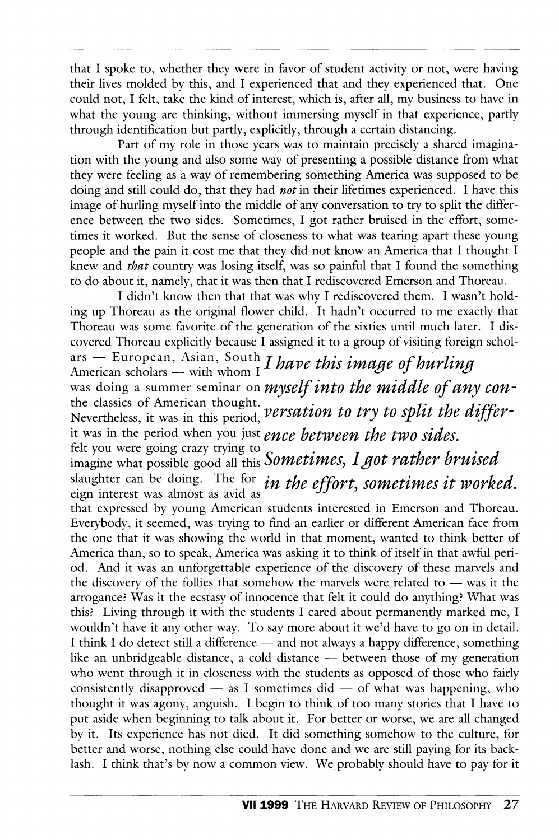that I spoke to, whether they were in favor of student activity or not, were having their lives molded by this, and I experienced that and they experienced that. One could not, I felt, take the kind of interest, which is, after all, my business to have in what the young are thinking, without immersing myself in that experience, pardy through identification but partly, explicitly, through a certain distancing.

Part of my role in those years was to maintain precisely a shared imagination with the young and also some way of presenting a possible distance from what they were feeling as a way of remembering something America was supposed to be doing and still could do, that they had *not* in their lifetimes experienced. I have this image of hurling myself into the middle of any conversation to try to split the difference between the two sides. Sometimes, I got rather bruised in the effort, sometimes it worked. But the sense of closeness to what was tearing apart these young people and the pain it cost me that they did not know an America that I thought I knew and *that* country was losing itself, was so painful that I found the something to do about it, namely, that it was then that I rediscovered Emerson and Thoreau.

I didn't know then that that was why I rediscovered them. I wasn't holding up Thoreau as the original flower child. It hadn't occurred to me exactly that Thoreau was some favorite of the generation of the sixties until much later. I discovered Thoreau explicitly because I assigned it to a group of visiting foreign scholars — European, Asian, South *I have this image of hurling*<br>American scholars — with whom I *I have this image of hurling* was doing a summer seminar on myself into the middle of any conthe classics of American thought. *Nersation to try to split the differ*-<br>Nevertheless, it was in this period, *versation to try to split the differ*it was in the period when you just ence between the two sides. felt you were going crazy trying to<br>imagine what possible good all this Sometimes, I got rather bruised slaughter can be doing. The foreign interest was almost as avid as that expressed by young American students interested in Emerson and Thoreau. Everybody, it seemed, was trying to find an earlier or different American face from the one that it was showing the world in that moment, wanted to think better of America than, so to speak, America was asking it to think of itself in that awfiil period. And it was an unforgettable experience of the discovery of these marvels and the discovery of the follies that somehow the marvels were related to — was it the arrogance? Was it the ecstasy of innocence that felt it could do any thing? What was this? Living through it with the students I cared about permanently marked me, I wouldn't have it any other way. To say more about it we'd have to go on in detail. I think I do detect still a difference — and not always a happy difference, something like an unbridgeable distance, a cold distance — between those of my generation who went through it in closeness with the students as opposed of those who fairly consistently disapproved  $-$  as I sometimes did  $-$  of what was happening, who thought it was agony, anguish. I begin to think of too many stories that I have to put aside when beginning to talk about it. For better or worse, we are all changed by it. Its experience has not died. It did something somehow to the culture, for better and worse, nothing else could have done and we are still paying for its backlash. I think that's by now a common view. We probably should have to pay for it